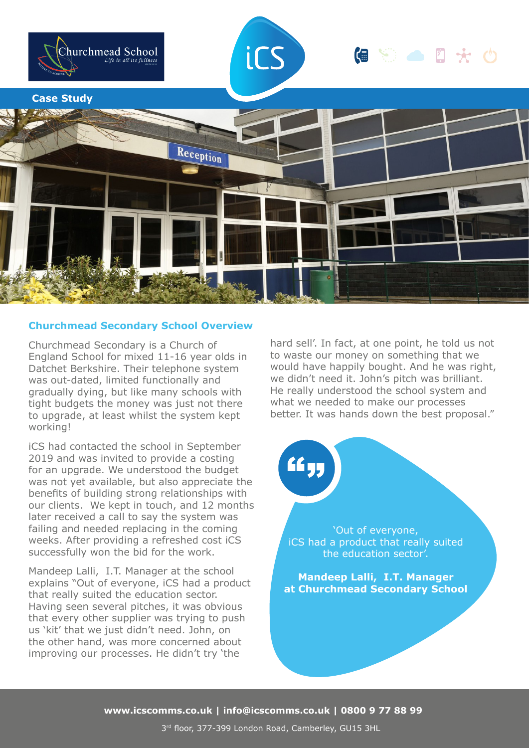

## **Churchmead Secondary School Overview**

Churchmead Secondary is a Church of England School for mixed 11-16 year olds in Datchet Berkshire. Their telephone system was out-dated, limited functionally and gradually dying, but like many schools with tight budgets the money was just not there to upgrade, at least whilst the system kept working!

iCS had contacted the school in September 2019 and was invited to provide a costing for an upgrade. We understood the budget was not yet available, but also appreciate the benefits of building strong relationships with our clients. We kept in touch, and 12 months later received a call to say the system was failing and needed replacing in the coming weeks. After providing a refreshed cost iCS successfully won the bid for the work.

Mandeep Lalli, I.T. Manager at the school explains "Out of everyone, iCS had a product that really suited the education sector. Having seen several pitches, it was obvious that every other supplier was trying to push us 'kit' that we just didn't need. John, on the other hand, was more concerned about improving our processes. He didn't try 'the

hard sell'. In fact, at one point, he told us not to waste our money on something that we would have happily bought. And he was right, we didn't need it. John's pitch was brilliant. He really understood the school system and what we needed to make our processes better. It was hands down the best proposal."



**www.icscomms.co.uk | info@icscomms.co.uk | 0800 9 77 88 99**